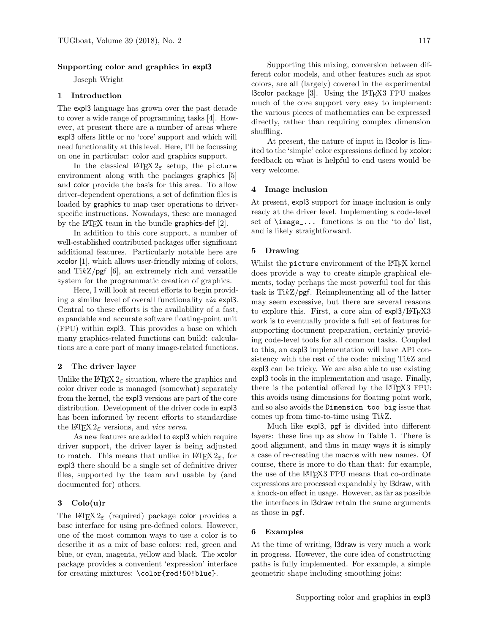#### Supporting color and graphics in expl3

Joseph Wright

# 1 Introduction

The expl3 language has grown over the past decade to cover a wide range of programming tasks [4]. However, at present there are a number of areas where expl3 offers little or no 'core' support and which will need functionality at this level. Here, I'll be focussing on one in particular: color and graphics support.

In the classical LAT<sub>E</sub>X  $2\varepsilon$  setup, the picture environment along with the packages graphics [5] and color provide the basis for this area. To allow driver-dependent operations, a set of definition files is loaded by graphics to map user operations to driverspecific instructions. Nowadays, these are managed by the LAT<sub>E</sub>X team in the bundle graphics-def  $[2]$ .

In addition to this core support, a number of well-established contributed packages offer significant additional features. Particularly notable here are xcolor [1], which allows user-friendly mixing of colors, and  $\text{Ti}k\mathbb{Z}/\text{pgf}$  [6], an extremely rich and versatile system for the programmatic creation of graphics.

Here, I will look at recent efforts to begin providing a similar level of overall functionality via expl3. Central to these efforts is the availability of a fast, expandable and accurate software floating-point unit (FPU) within expl3. This provides a base on which many graphics-related functions can build: calculations are a core part of many image-related functions.

#### 2 The driver layer

Unlike the LAT<sub>E</sub>X  $2\varepsilon$  situation, where the graphics and color driver code is managed (somewhat) separately from the kernel, the expl3 versions are part of the core distribution. Development of the driver code in expl3 has been informed by recent efforts to standardise the LAT<sub>EX</sub> 2<sub> $\varepsilon$ </sub> versions, and *vice versa*.

As new features are added to expl3 which require driver support, the driver layer is being adjusted to match. This means that unlike in  $\text{LATEX } 2\varepsilon$ , for expl3 there should be a single set of definitive driver files, supported by the team and usable by (and documented for) others.

# 3 Colo(u)r

The L<sup>AT</sup>EX 2<sub> $\varepsilon$ </sub> (required) package color provides a base interface for using pre-defined colors. However, one of the most common ways to use a color is to describe it as a mix of base colors: red, green and blue, or cyan, magenta, yellow and black. The xcolor package provides a convenient 'expression' interface for creating mixtures: \color{red!50!blue}.

Supporting this mixing, conversion between different color models, and other features such as spot colors, are all (largely) covered in the experimental l3color package [3]. Using the LATEX3 FPU makes much of the core support very easy to implement: the various pieces of mathematics can be expressed directly, rather than requiring complex dimension shuffling.

At present, the nature of input in l3color is limited to the 'simple' color expressions defined by xcolor: feedback on what is helpful to end users would be very welcome.

#### 4 Image inclusion

At present, expl3 support for image inclusion is only ready at the driver level. Implementing a code-level set of \image\_... functions is on the 'to do' list, and is likely straightforward.

#### 5 Drawing

Whilst the picture environment of the LAT<sub>E</sub>X kernel does provide a way to create simple graphical elements, today perhaps the most powerful tool for this task is TikZ/pgf. Reimplementing all of the latter may seem excessive, but there are several reasons to explore this. First, a core aim of expl3/LATFX3 work is to eventually provide a full set of features for supporting document preparation, certainly providing code-level tools for all common tasks. Coupled to this, an expl3 implementation will have API consistency with the rest of the code: mixing TikZ and expl3 can be tricky. We are also able to use existing expl3 tools in the implementation and usage. Finally, there is the potential offered by the LAT<sub>F</sub>X3 FPU: this avoids using dimensions for floating point work, and so also avoids the Dimension too big issue that comes up from time-to-time using TikZ.

Much like expl3, pgf is divided into different layers: these line up as show in Table 1. There is good alignment, and thus in many ways it is simply a case of re-creating the macros with new names. Of course, there is more to do than that: for example, the use of the LAT<sub>EX3</sub> FPU means that co-ordinate expressions are processed expandably by l3draw, with a knock-on effect in usage. However, as far as possible the interfaces in l3draw retain the same arguments as those in pgf.

## 6 Examples

At the time of writing, l3draw is very much a work in progress. However, the core idea of constructing paths is fully implemented. For example, a simple geometric shape including smoothing joins: